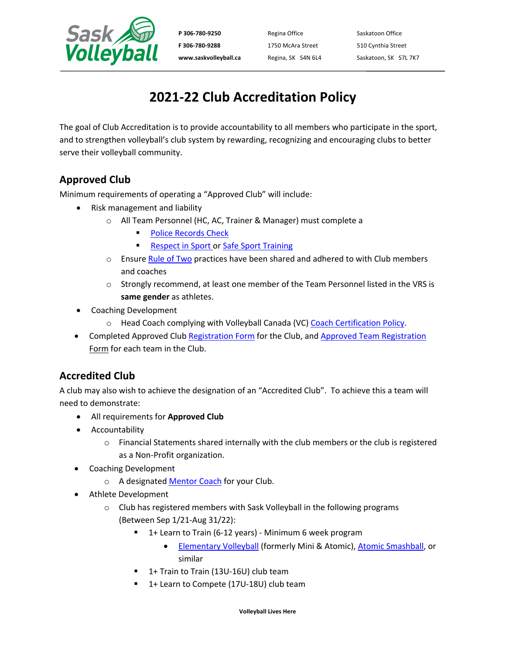

P 306-780-9250 Regina Office Saskatoon Office **F 306-780-9288** 1750 McAra Street 510 Cynthia Street

www.saskvolleyball.ca Regina, SK S4N 6L4 Saskatoon, SK S7L 7K7

# **2021-22 Club Accreditation Policy**

The goal of Club Accreditation is to provide accountability to all members who participate in the sport, and to strengthen volleyball's club system by rewarding, recognizing and encouraging clubs to better serve their volleyball community.

### **Approved Club**

Minimum requirements of operating a "Approved Club" will include:

- Risk management and liability
	- o All Team Personnel (HC, AC, Trainer & Manager) must complete a
		- Police Records Check
		- Respect in Sport or Safe Sport Training
	- $\circ$  Ensure Rule of Two practices have been shared and adhered to with Club members and coaches
	- $\circ$  Strongly recommend, at least one member of the Team Personnel listed in the VRS is **same gender** as athletes.
- Coaching Development
	- o Head Coach complying with Volleyball Canada (VC) Coach Certification Policy.
- Completed Approved Club Registration Form for the Club, and Approved Team Registration Form for each team in the Club.

## **Accredited Club**

A club may also wish to achieve the designation of an "Accredited Club". To achieve this a team will need to demonstrate:

- All requirements for **Approved Club**
- Accountability
	- $\circ$  Financial Statements shared internally with the club members or the club is registered as a Non-Profit organization.
- Coaching Development
	- o A designated Mentor Coach for your Club.
- Athlete Development
	- $\circ$  Club has registered members with Sask Volleyball in the following programs (Between Sep 1/21-Aug 31/22):
		- 1+ Learn to Train (6-12 years) Minimum 6 week program
			- Elementary Volleyball (formerly Mini & Atomic), Atomic Smashball, or similar
		- § 1+ Train to Train (13U-16U) club team
		- 1+ Learn to Compete (17U-18U) club team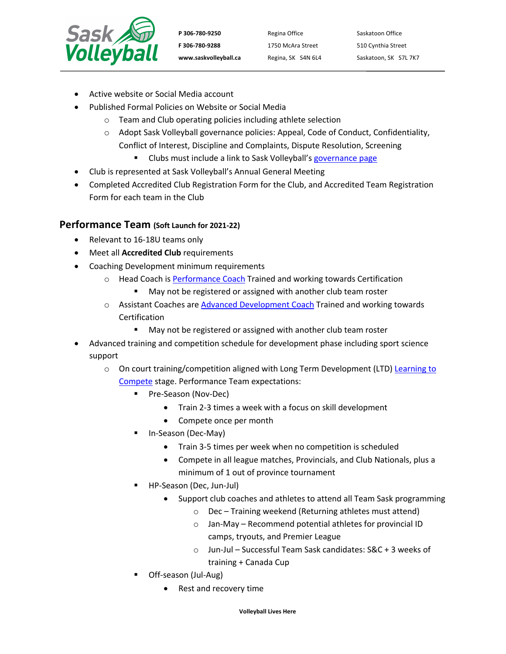

P 306-780-9250 Regina Office Saskatoon Office **F 306-780-9288** 1750 McAra Street 510 Cynthia Street

www.saskvolleyball.ca Regina, SK S4N 6L4 Saskatoon, SK S7L 7K7

- Active website or Social Media account
- Published Formal Policies on Website or Social Media
	- o Team and Club operating policies including athlete selection
		- o Adopt Sask Volleyball governance policies: Appeal, Code of Conduct, Confidentiality, Conflict of Interest, Discipline and Complaints, Dispute Resolution, Screening
			- Clubs must include a link to Sask Volleyball's governance page
- Club is represented at Sask Volleyball's Annual General Meeting
- Completed Accredited Club Registration Form for the Club, and Accredited Team Registration Form for each team in the Club

### **Performance Team (Soft Launch for 2021-22)**

- Relevant to 16-18U teams only
- Meet all **Accredited Club** requirements
- Coaching Development minimum requirements
	- o Head Coach is Performance Coach Trained and working towards Certification
		- May not be registered or assigned with another club team roster
	- o Assistant Coaches are Advanced Development Coach Trained and working towards Certification
		- May not be registered or assigned with another club team roster
- Advanced training and competition schedule for development phase including sport science support
	- $\circ$  On court training/competition aligned with Long Term Development (LTD) Learning to Compete stage. Performance Team expectations:
		- § Pre-Season (Nov-Dec)
			- Train 2-3 times a week with a focus on skill development
			- Compete once per month
		- § In-Season (Dec-May)
			- Train 3-5 times per week when no competition is scheduled
			- Compete in all league matches, Provincials, and Club Nationals, plus a minimum of 1 out of province tournament
		- § HP-Season (Dec, Jun-Jul)
			- Support club coaches and athletes to attend all Team Sask programming
				- o Dec Training weekend (Returning athletes must attend)
				- o Jan-May Recommend potential athletes for provincial ID camps, tryouts, and Premier League
				- o Jun-Jul Successful Team Sask candidates: S&C + 3 weeks of training + Canada Cup
		- § Off-season (Jul-Aug)
			- Rest and recovery time

**Volleyball Lives Here**